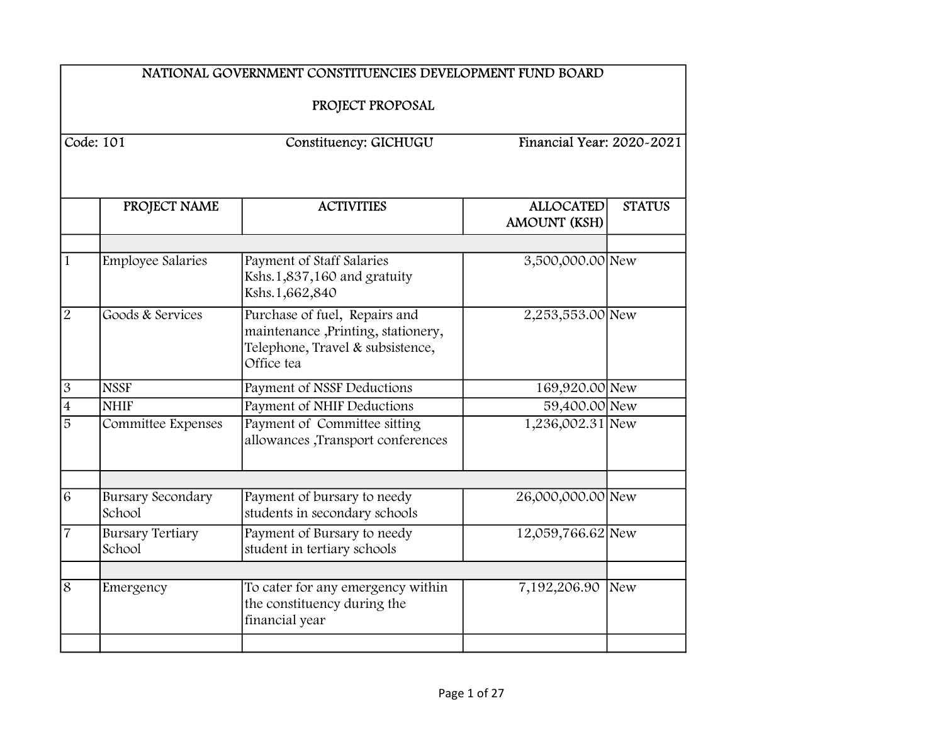|                | NATIONAL GOVERNMENT CONSTITUENCIES DEVELOPMENT FUND BOARD |                                                                                                                       |                                         |                           |  |
|----------------|-----------------------------------------------------------|-----------------------------------------------------------------------------------------------------------------------|-----------------------------------------|---------------------------|--|
|                | PROJECT PROPOSAL                                          |                                                                                                                       |                                         |                           |  |
| Code: 101      |                                                           | Constituency: GICHUGU                                                                                                 |                                         | Financial Year: 2020-2021 |  |
|                | PROJECT NAME                                              | <b>ACTIVITIES</b>                                                                                                     | <b>ALLOCATED</b><br><b>AMOUNT (KSH)</b> | <b>STATUS</b>             |  |
| $\mathbf{1}$   | <b>Employee Salaries</b>                                  | Payment of Staff Salaries<br>Kshs.1,837,160 and gratuity<br>Kshs.1,662,840                                            | 3,500,000.00 New                        |                           |  |
| $\overline{2}$ | Goods & Services                                          | Purchase of fuel, Repairs and<br>maintenance ,Printing, stationery,<br>Telephone, Travel & subsistence,<br>Office tea | 2,253,553.00 New                        |                           |  |
| $\overline{3}$ | <b>NSSF</b>                                               | Payment of NSSF Deductions                                                                                            | 169,920.00 New                          |                           |  |
| $\overline{4}$ | <b>NHIF</b>                                               | <b>Payment of NHIF Deductions</b>                                                                                     | 59,400.00 New                           |                           |  |
| $\overline{5}$ | Committee Expenses                                        | Payment of Committee sitting<br>allowances ,Transport conferences                                                     | 1,236,002.31 New                        |                           |  |
| $\overline{6}$ | <b>Bursary Secondary</b><br>School                        | Payment of bursary to needy<br>students in secondary schools                                                          | 26,000,000.00 New                       |                           |  |
| $\overline{7}$ | <b>Bursary Tertiary</b><br>School                         | Payment of Bursary to needy<br>student in tertiary schools                                                            | 12,059,766.62 New                       |                           |  |
|                |                                                           |                                                                                                                       |                                         |                           |  |
| $\overline{8}$ | Emergency                                                 | To cater for any emergency within<br>the constituency during the<br>financial year                                    | 7,192,206.90                            | New                       |  |
|                |                                                           |                                                                                                                       |                                         |                           |  |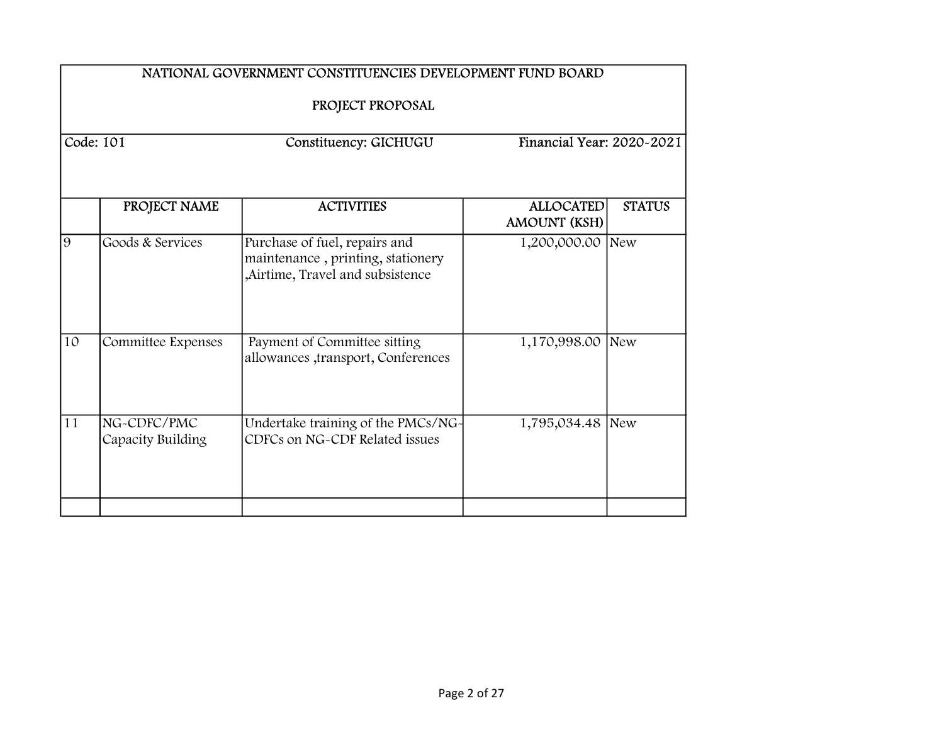|                  | NATIONAL GOVERNMENT CONSTITUENCIES DEVELOPMENT FUND BOARD |                                                                                                        |                                         |               |  |  |
|------------------|-----------------------------------------------------------|--------------------------------------------------------------------------------------------------------|-----------------------------------------|---------------|--|--|
| PROJECT PROPOSAL |                                                           |                                                                                                        |                                         |               |  |  |
| Code: 101        |                                                           | Constituency: GICHUGU                                                                                  | Financial Year: 2020~2021               |               |  |  |
|                  | PROJECT NAME                                              | <b>ACTIVITIES</b>                                                                                      | <b>ALLOCATED</b><br><b>AMOUNT (KSH)</b> | <b>STATUS</b> |  |  |
| $\overline{9}$   | Goods & Services                                          | Purchase of fuel, repairs and<br>maintenance, printing, stationery<br>,Airtime, Travel and subsistence | 1,200,000.00 New                        |               |  |  |
| 10               | Committee Expenses                                        | Payment of Committee sitting<br>allowances ,transport, Conferences                                     | 1,170,998.00 New                        |               |  |  |
| 11               | NG-CDFC/PMC<br>Capacity Building                          | Undertake training of the PMCs/NG-<br>CDFCs on NG-CDF Related issues                                   | 1,795,034.48 New                        |               |  |  |
|                  |                                                           |                                                                                                        |                                         |               |  |  |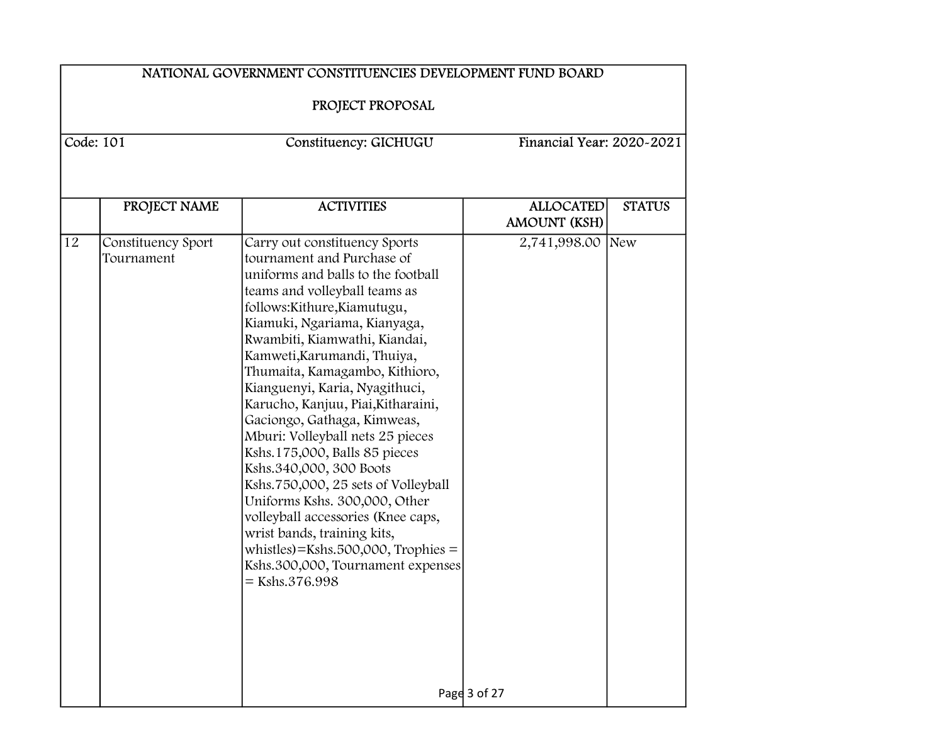|    | NATIONAL GOVERNMENT CONSTITUENCIES DEVELOPMENT FUND BOARD |                                                                                                                                                                                                                                                                                                                                                                                                                                                                                                                                                                                                                                                                                                                                                             |                           |               |  |
|----|-----------------------------------------------------------|-------------------------------------------------------------------------------------------------------------------------------------------------------------------------------------------------------------------------------------------------------------------------------------------------------------------------------------------------------------------------------------------------------------------------------------------------------------------------------------------------------------------------------------------------------------------------------------------------------------------------------------------------------------------------------------------------------------------------------------------------------------|---------------------------|---------------|--|
|    | PROJECT PROPOSAL                                          |                                                                                                                                                                                                                                                                                                                                                                                                                                                                                                                                                                                                                                                                                                                                                             |                           |               |  |
|    | Code: $101$                                               | Constituency: GICHUGU                                                                                                                                                                                                                                                                                                                                                                                                                                                                                                                                                                                                                                                                                                                                       | Financial Year: 2020~2021 |               |  |
|    | PROJECT NAME                                              | <b>ACTIVITIES</b>                                                                                                                                                                                                                                                                                                                                                                                                                                                                                                                                                                                                                                                                                                                                           | <b>ALLOCATED</b>          | <b>STATUS</b> |  |
|    |                                                           |                                                                                                                                                                                                                                                                                                                                                                                                                                                                                                                                                                                                                                                                                                                                                             | <b>AMOUNT (KSH)</b>       |               |  |
| 12 | Constituency Sport<br>Tournament                          | Carry out constituency Sports<br>tournament and Purchase of<br>uniforms and balls to the football<br>teams and volleyball teams as<br>follows:Kithure,Kiamutugu,<br>Kiamuki, Ngariama, Kianyaga,<br>Rwambiti, Kiamwathi, Kiandai,<br>Kamweti, Karumandi, Thuiya,<br>Thumaita, Kamagambo, Kithioro,<br>Kianguenyi, Karia, Nyagithuci,<br>Karucho, Kanjuu, Piai, Kitharaini,<br>Gaciongo, Gathaga, Kimweas,<br>Mburi: Volleyball nets 25 pieces<br>Kshs.175,000, Balls 85 pieces<br>Kshs.340,000, 300 Boots<br>Kshs.750,000, 25 sets of Volleyball<br>Uniforms Kshs. 300,000, Other<br>volleyball accessories (Knee caps,<br>wrist bands, training kits,<br>whistles $)=$ Kshs.500,000, Trophies $=$<br>Kshs.300,000, Tournament expenses<br>$=$ Kshs.376.998 | 2,741,998.00 New          |               |  |
|    |                                                           |                                                                                                                                                                                                                                                                                                                                                                                                                                                                                                                                                                                                                                                                                                                                                             | Page 3 of 27              |               |  |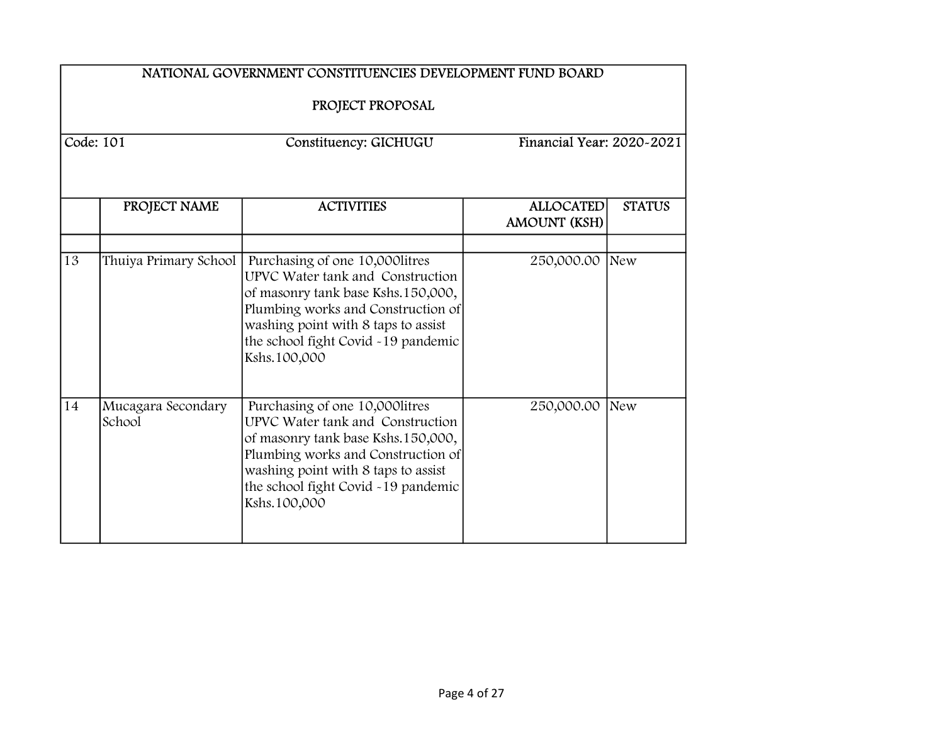|    | NATIONAL GOVERNMENT CONSTITUENCIES DEVELOPMENT FUND BOARD       |                                                                                                                                                                                                                                               |                                         |               |  |
|----|-----------------------------------------------------------------|-----------------------------------------------------------------------------------------------------------------------------------------------------------------------------------------------------------------------------------------------|-----------------------------------------|---------------|--|
|    | PROJECT PROPOSAL                                                |                                                                                                                                                                                                                                               |                                         |               |  |
|    | Code: 101<br>Financial Year: 2020~2021<br>Constituency: GICHUGU |                                                                                                                                                                                                                                               |                                         |               |  |
|    |                                                                 |                                                                                                                                                                                                                                               |                                         |               |  |
|    | PROJECT NAME                                                    | <b>ACTIVITIES</b>                                                                                                                                                                                                                             | <b>ALLOCATED</b><br><b>AMOUNT (KSH)</b> | <b>STATUS</b> |  |
| 13 | Thuiya Primary School                                           | Purchasing of one 10,000 litres<br>UPVC Water tank and Construction<br>of masonry tank base Kshs.150,000,<br>Plumbing works and Construction of<br>washing point with 8 taps to assist<br>the school fight Covid -19 pandemic<br>Kshs.100,000 | 250,000.00 New                          |               |  |
| 14 | Mucagara Secondary<br>School                                    | Purchasing of one 10,000 litres<br>UPVC Water tank and Construction<br>of masonry tank base Kshs.150,000,<br>Plumbing works and Construction of<br>washing point with 8 taps to assist<br>the school fight Covid -19 pandemic<br>Kshs.100,000 | 250,000.00                              | New           |  |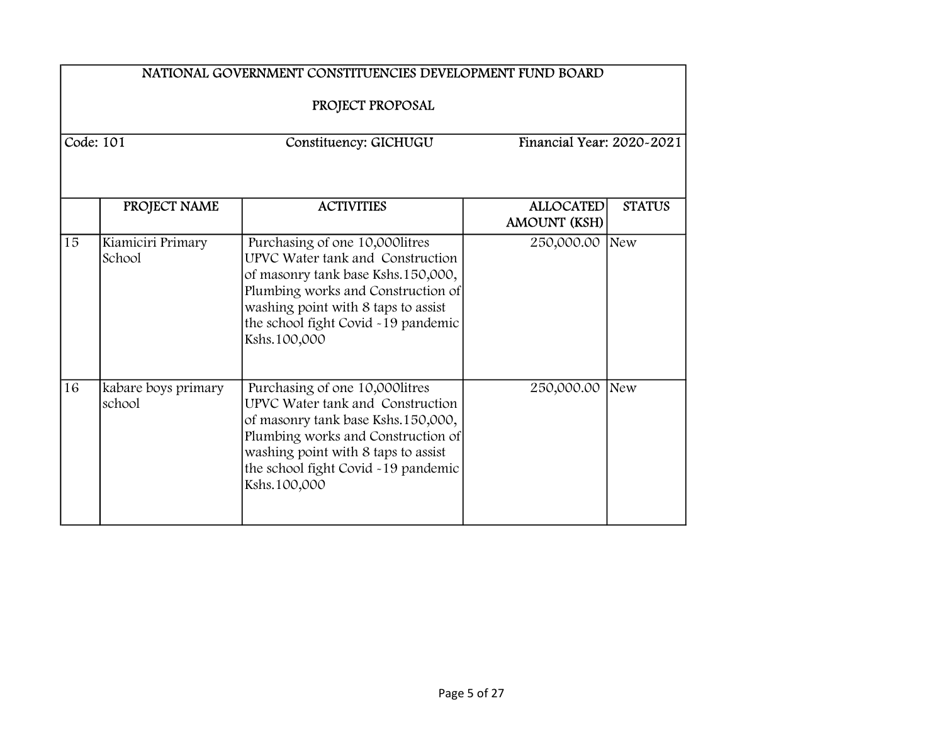|           | NATIONAL GOVERNMENT CONSTITUENCIES DEVELOPMENT FUND BOARD<br>PROJECT PROPOSAL |                                                                                                                                                                                                                                               |                                  |                           |  |  |
|-----------|-------------------------------------------------------------------------------|-----------------------------------------------------------------------------------------------------------------------------------------------------------------------------------------------------------------------------------------------|----------------------------------|---------------------------|--|--|
| Code: 101 |                                                                               | Constituency: GICHUGU                                                                                                                                                                                                                         |                                  | Financial Year: 2020~2021 |  |  |
|           | PROJECT NAME                                                                  | <b>ACTIVITIES</b>                                                                                                                                                                                                                             | <b>ALLOCATED</b><br>AMOUNT (KSH) | <b>STATUS</b>             |  |  |
| 15        | Kiamiciri Primary<br>School                                                   | Purchasing of one 10,000 litres<br>UPVC Water tank and Construction<br>of masonry tank base Kshs.150,000,<br>Plumbing works and Construction of<br>washing point with 8 taps to assist<br>the school fight Covid -19 pandemic<br>Kshs.100,000 | 250,000.00 New                   |                           |  |  |
| 16        | kabare boys primary<br>school                                                 | Purchasing of one 10,000litres<br>UPVC Water tank and Construction<br>of masonry tank base Kshs.150,000,<br>Plumbing works and Construction of<br>washing point with 8 taps to assist<br>the school fight Covid -19 pandemic<br>Kshs.100,000  | 250,000.00                       | New                       |  |  |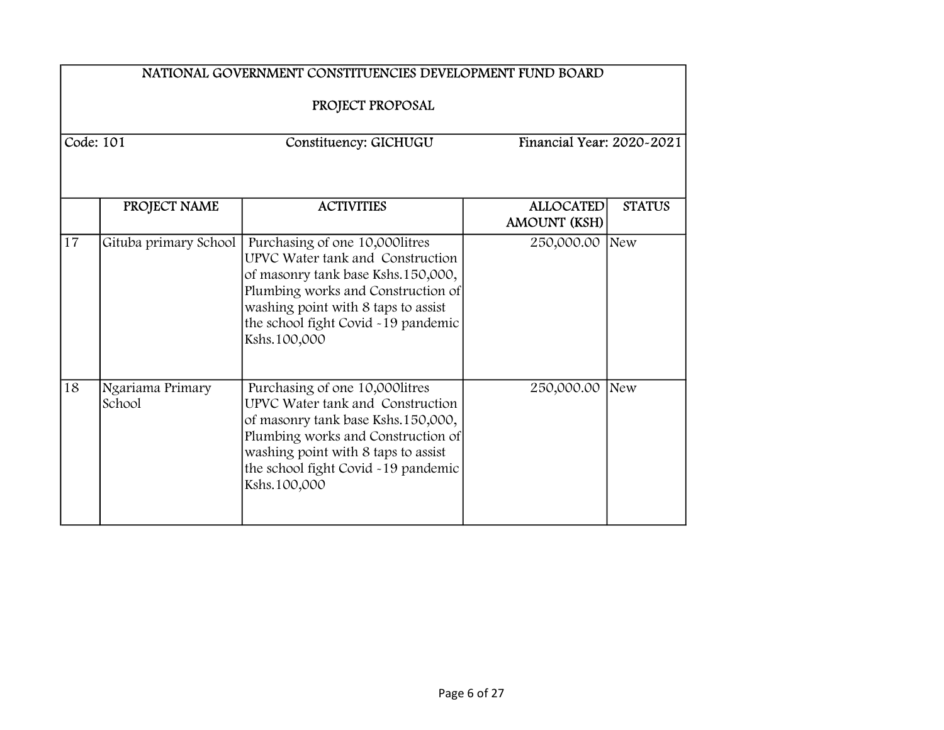|           | NATIONAL GOVERNMENT CONSTITUENCIES DEVELOPMENT FUND BOARD<br>PROJECT PROPOSAL |                                                                                                                                                                                                                                               |                                         |                           |  |
|-----------|-------------------------------------------------------------------------------|-----------------------------------------------------------------------------------------------------------------------------------------------------------------------------------------------------------------------------------------------|-----------------------------------------|---------------------------|--|
| Code: 101 |                                                                               | Constituency: GICHUGU                                                                                                                                                                                                                         |                                         | Financial Year: 2020~2021 |  |
|           | PROJECT NAME                                                                  | <b>ACTIVITIES</b>                                                                                                                                                                                                                             | <b>ALLOCATED</b><br><b>AMOUNT (KSH)</b> | <b>STATUS</b>             |  |
| 17        | Gituba primary School                                                         | Purchasing of one 10,000 litres<br>UPVC Water tank and Construction<br>of masonry tank base Kshs.150,000,<br>Plumbing works and Construction of<br>washing point with 8 taps to assist<br>the school fight Covid -19 pandemic<br>Kshs.100,000 | 250,000.00                              | New                       |  |
| 18        | Ngariama Primary<br>School                                                    | Purchasing of one 10,000litres<br>UPVC Water tank and Construction<br>of masonry tank base Kshs.150,000,<br>Plumbing works and Construction of<br>washing point with 8 taps to assist<br>the school fight Covid -19 pandemic<br>Kshs.100,000  | 250,000.00                              | New                       |  |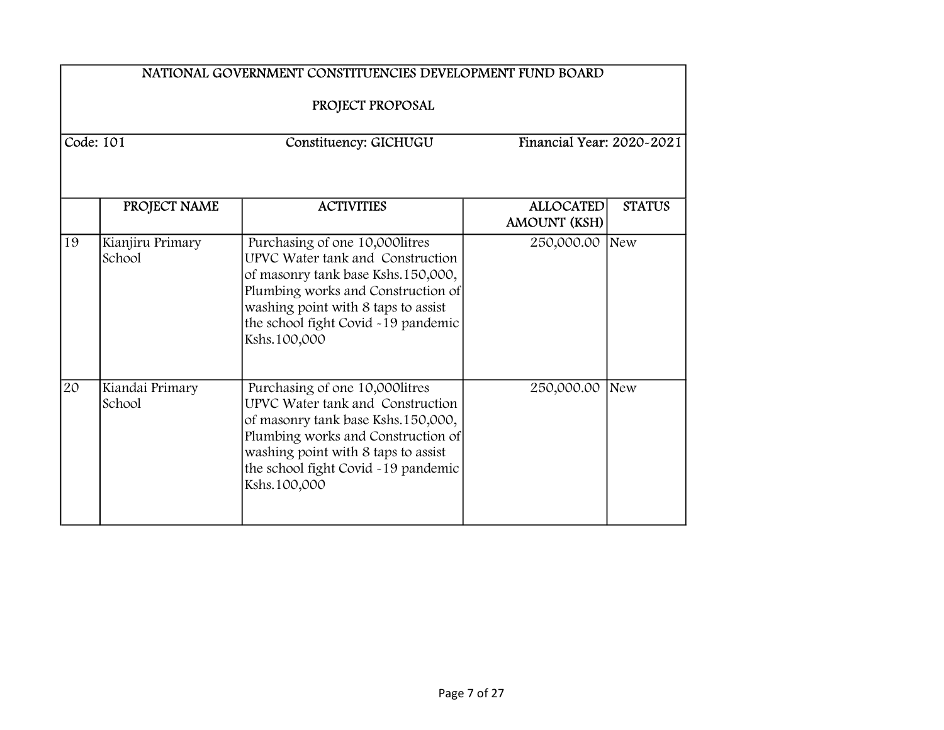|    | NATIONAL GOVERNMENT CONSTITUENCIES DEVELOPMENT FUND BOARD |                                                                                                                                                                                                                                               |                                         |               |  |
|----|-----------------------------------------------------------|-----------------------------------------------------------------------------------------------------------------------------------------------------------------------------------------------------------------------------------------------|-----------------------------------------|---------------|--|
|    | Code: 101                                                 | PROJECT PROPOSAL<br>Constituency: GICHUGU                                                                                                                                                                                                     | Financial Year: 2020~2021               |               |  |
|    | PROJECT NAME                                              | <b>ACTIVITIES</b>                                                                                                                                                                                                                             | <b>ALLOCATED</b><br><b>AMOUNT (KSH)</b> | <b>STATUS</b> |  |
| 19 | Kianjiru Primary<br>School                                | Purchasing of one 10,000 litres<br>UPVC Water tank and Construction<br>of masonry tank base Kshs.150,000,<br>Plumbing works and Construction of<br>washing point with 8 taps to assist<br>the school fight Covid -19 pandemic<br>Kshs.100,000 | 250,000.00                              | New           |  |
| 20 | Kiandai Primary<br>School                                 | Purchasing of one 10,000 litres<br>UPVC Water tank and Construction<br>of masonry tank base Kshs.150,000,<br>Plumbing works and Construction of<br>washing point with 8 taps to assist<br>the school fight Covid -19 pandemic<br>Kshs.100,000 | 250,000.00                              | New           |  |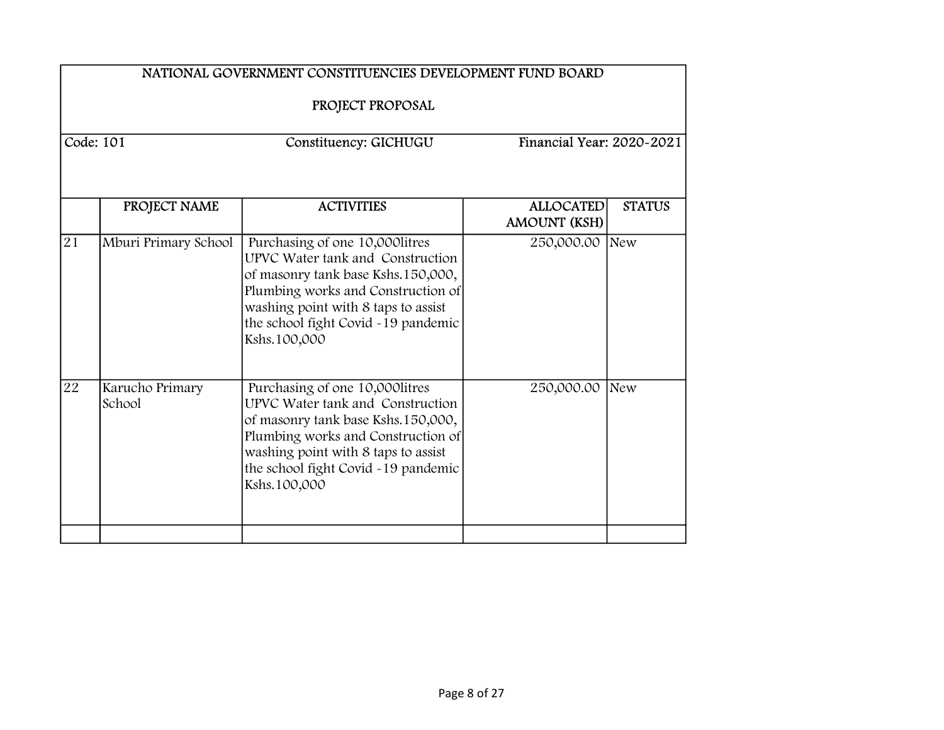|           | NATIONAL GOVERNMENT CONSTITUENCIES DEVELOPMENT FUND BOARD<br>PROJECT PROPOSAL |                                                                                                                                                                                                                                               |                                         |                           |  |
|-----------|-------------------------------------------------------------------------------|-----------------------------------------------------------------------------------------------------------------------------------------------------------------------------------------------------------------------------------------------|-----------------------------------------|---------------------------|--|
|           |                                                                               |                                                                                                                                                                                                                                               |                                         |                           |  |
| Code: 101 |                                                                               | Constituency: GICHUGU                                                                                                                                                                                                                         |                                         | Financial Year: 2020-2021 |  |
|           | PROJECT NAME                                                                  | <b>ACTIVITIES</b>                                                                                                                                                                                                                             | <b>ALLOCATED</b><br><b>AMOUNT (KSH)</b> | <b>STATUS</b>             |  |
| 21        | Mburi Primary School                                                          | Purchasing of one 10,000 litres<br>UPVC Water tank and Construction<br>of masonry tank base Kshs.150,000,<br>Plumbing works and Construction of<br>washing point with 8 taps to assist<br>the school fight Covid -19 pandemic<br>Kshs.100,000 | 250,000.00                              | New                       |  |
| 22        | Karucho Primary<br>School                                                     | Purchasing of one 10,000litres<br>UPVC Water tank and Construction<br>of masonry tank base Kshs.150,000,<br>Plumbing works and Construction of<br>washing point with 8 taps to assist<br>the school fight Covid -19 pandemic<br>Kshs.100,000  | 250,000.00                              | New                       |  |
|           |                                                                               |                                                                                                                                                                                                                                               |                                         |                           |  |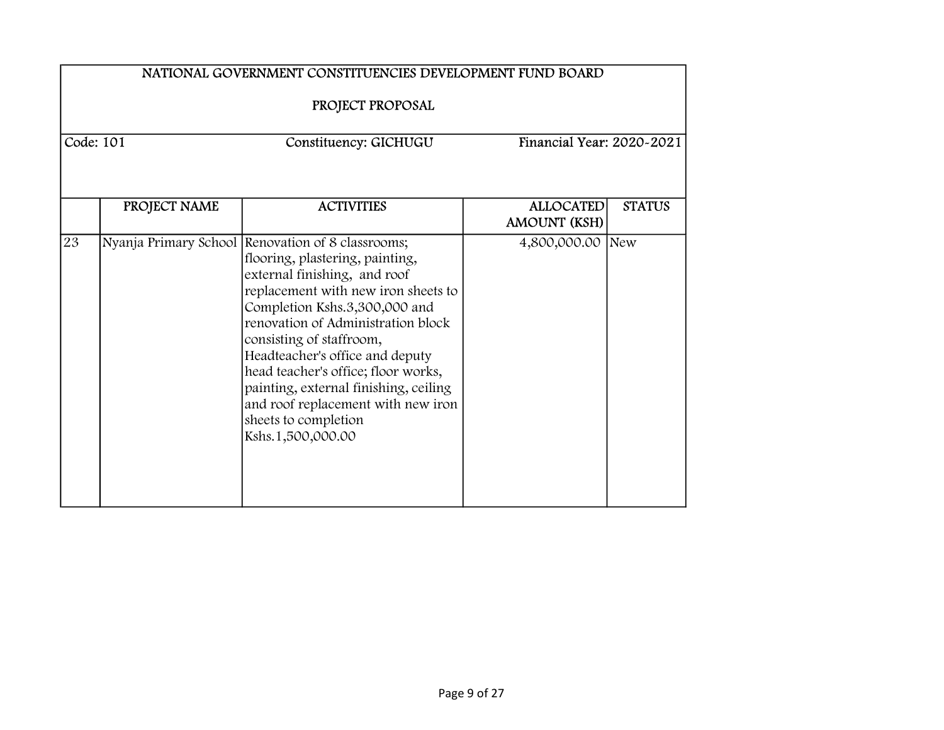|             | NATIONAL GOVERNMENT CONSTITUENCIES DEVELOPMENT FUND BOARD<br>PROJECT PROPOSAL |                                                                                                                                                                                                                                                                                                                                                                                                                                                                      |                                         |               |  |
|-------------|-------------------------------------------------------------------------------|----------------------------------------------------------------------------------------------------------------------------------------------------------------------------------------------------------------------------------------------------------------------------------------------------------------------------------------------------------------------------------------------------------------------------------------------------------------------|-----------------------------------------|---------------|--|
| Code: $101$ |                                                                               | Constituency: GICHUGU                                                                                                                                                                                                                                                                                                                                                                                                                                                | Financial Year: 2020~2021               |               |  |
|             | PROJECT NAME                                                                  | <b>ACTIVITIES</b>                                                                                                                                                                                                                                                                                                                                                                                                                                                    | <b>ALLOCATED</b><br><b>AMOUNT (KSH)</b> | <b>STATUS</b> |  |
| 23          |                                                                               | Nyanja Primary School Renovation of 8 classrooms;<br>flooring, plastering, painting,<br>external finishing, and roof<br>replacement with new iron sheets to<br>Completion Kshs.3,300,000 and<br>renovation of Administration block<br>consisting of staffroom,<br>Headteacher's office and deputy<br>head teacher's office; floor works,<br>painting, external finishing, ceiling<br>and roof replacement with new iron<br>sheets to completion<br>Kshs.1,500,000.00 | 4,800,000.00 New                        |               |  |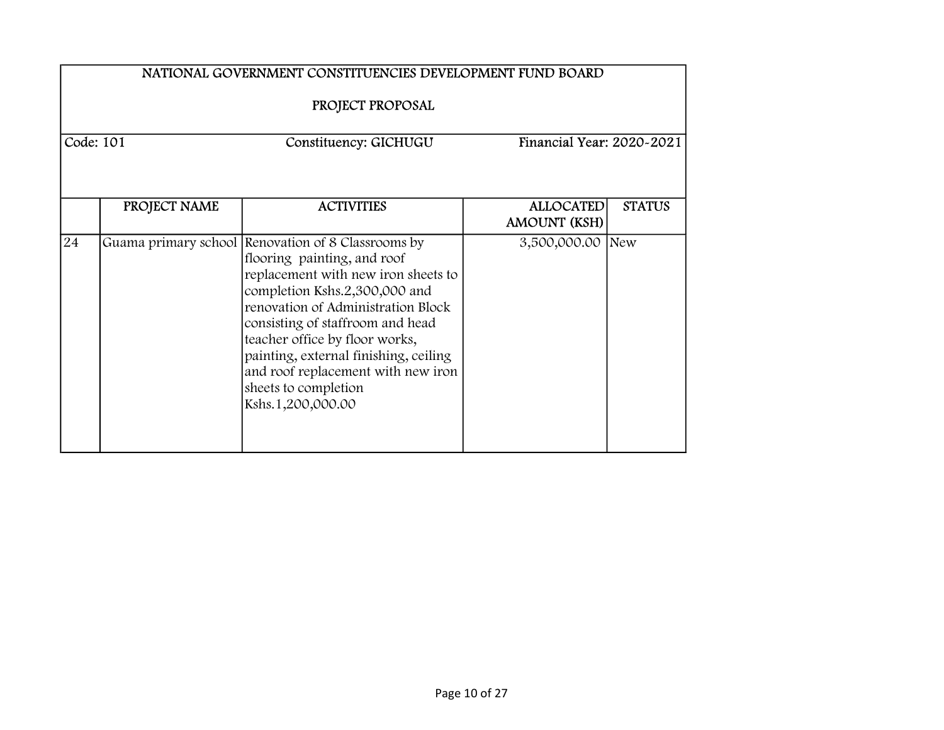|                                                                 | NATIONAL GOVERNMENT CONSTITUENCIES DEVELOPMENT FUND BOARD<br>PROJECT PROPOSAL |                                                                                                                                                                                                                                                                                                                                                                                                   |                                         |               |  |
|-----------------------------------------------------------------|-------------------------------------------------------------------------------|---------------------------------------------------------------------------------------------------------------------------------------------------------------------------------------------------------------------------------------------------------------------------------------------------------------------------------------------------------------------------------------------------|-----------------------------------------|---------------|--|
| Code: 101<br>Financial Year: 2020-2021<br>Constituency: GICHUGU |                                                                               |                                                                                                                                                                                                                                                                                                                                                                                                   |                                         |               |  |
|                                                                 | PROJECT NAME                                                                  | <b>ACTIVITIES</b>                                                                                                                                                                                                                                                                                                                                                                                 | <b>ALLOCATED</b><br><b>AMOUNT (KSH)</b> | <b>STATUS</b> |  |
| 24                                                              |                                                                               | Guama primary school Renovation of 8 Classrooms by<br>flooring painting, and roof<br>replacement with new iron sheets to<br>completion Kshs.2,300,000 and<br>renovation of Administration Block<br>consisting of staffroom and head<br>teacher office by floor works,<br>painting, external finishing, ceiling<br>and roof replacement with new iron<br>sheets to completion<br>Kshs.1,200,000.00 | 3,500,000.00 New                        |               |  |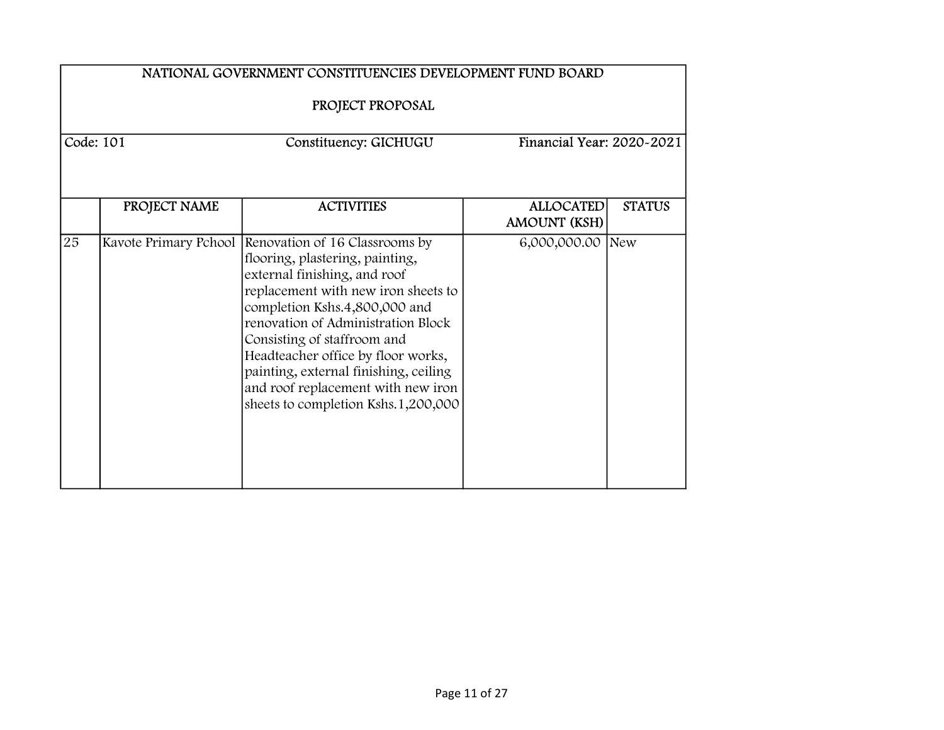|           | NATIONAL GOVERNMENT CONSTITUENCIES DEVELOPMENT FUND BOARD<br>PROJECT PROPOSAL |                                                                                                                                                                                                                                                                                                                                                                                                                                  |                                         |               |  |
|-----------|-------------------------------------------------------------------------------|----------------------------------------------------------------------------------------------------------------------------------------------------------------------------------------------------------------------------------------------------------------------------------------------------------------------------------------------------------------------------------------------------------------------------------|-----------------------------------------|---------------|--|
| Code: 101 |                                                                               | Constituency: GICHUGU                                                                                                                                                                                                                                                                                                                                                                                                            | Financial Year: 2020-2021               |               |  |
|           | PROJECT NAME                                                                  | <b>ACTIVITIES</b>                                                                                                                                                                                                                                                                                                                                                                                                                | <b>ALLOCATED</b><br><b>AMOUNT (KSH)</b> | <b>STATUS</b> |  |
| 25        |                                                                               | Kavote Primary Pchool Renovation of 16 Classrooms by<br>flooring, plastering, painting,<br>external finishing, and roof<br>replacement with new iron sheets to<br>completion Kshs.4,800,000 and<br>renovation of Administration Block<br>Consisting of staffroom and<br>Headteacher office by floor works,<br>painting, external finishing, ceiling<br>and roof replacement with new iron<br>sheets to completion Kshs.1,200,000 | 6,000,000.00                            | New           |  |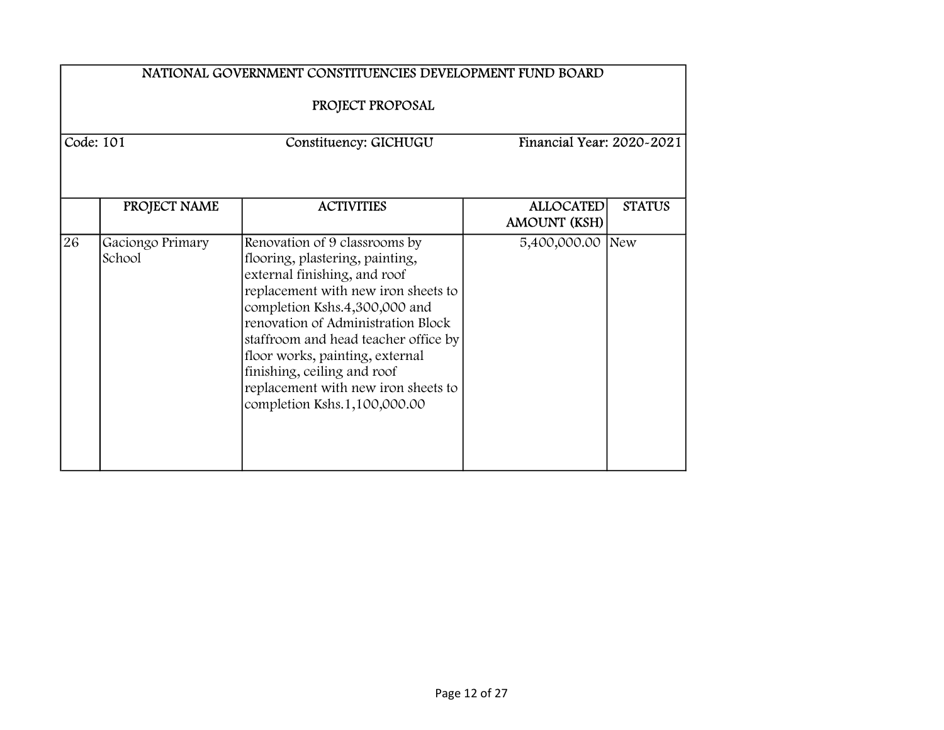|           | NATIONAL GOVERNMENT CONSTITUENCIES DEVELOPMENT FUND BOARD<br>PROJECT PROPOSAL |                                                                                                                                                                                                                                                                                                                                                                                                 |                                  |               |  |
|-----------|-------------------------------------------------------------------------------|-------------------------------------------------------------------------------------------------------------------------------------------------------------------------------------------------------------------------------------------------------------------------------------------------------------------------------------------------------------------------------------------------|----------------------------------|---------------|--|
| Code: 101 |                                                                               | Constituency: GICHUGU                                                                                                                                                                                                                                                                                                                                                                           | Financial Year: 2020~2021        |               |  |
|           | PROJECT NAME                                                                  | <b>ACTIVITIES</b>                                                                                                                                                                                                                                                                                                                                                                               | <b>ALLOCATED</b><br>AMOUNT (KSH) | <b>STATUS</b> |  |
| 26        | Gaciongo Primary<br>School                                                    | Renovation of 9 classrooms by<br>flooring, plastering, painting,<br>external finishing, and roof<br>replacement with new iron sheets to<br>completion Kshs.4,300,000 and<br>renovation of Administration Block<br>staffroom and head teacher office by<br>floor works, painting, external<br>finishing, ceiling and roof<br>replacement with new iron sheets to<br>completion Kshs.1,100,000.00 | 5,400,000.00 New                 |               |  |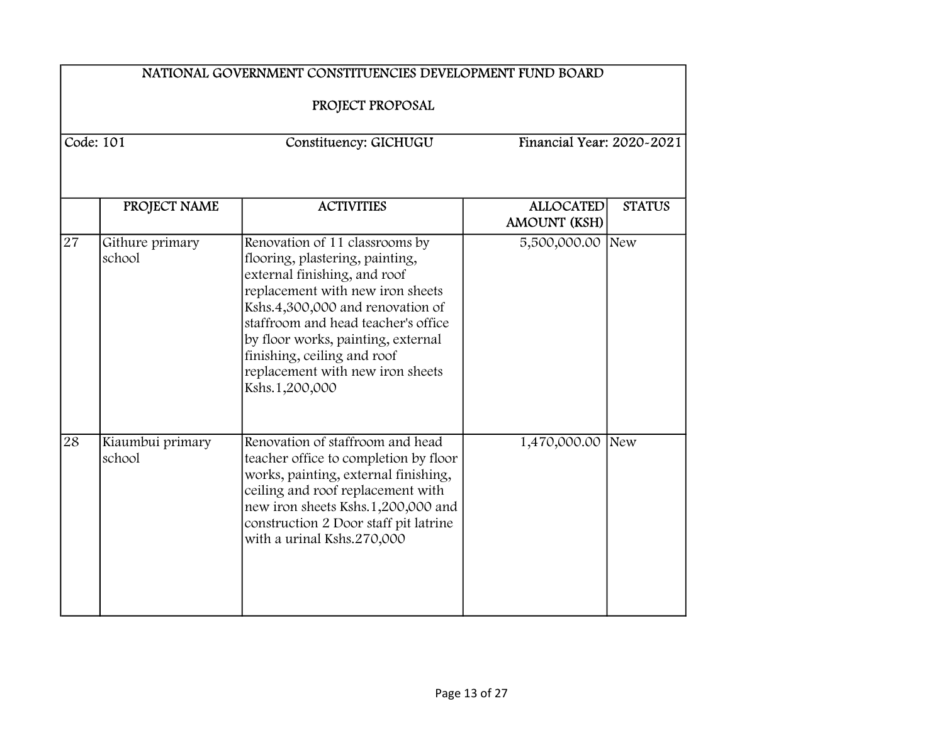|             | NATIONAL GOVERNMENT CONSTITUENCIES DEVELOPMENT FUND BOARD |                                                                                                                                                                                                                                                                                                                                             |                                         |               |  |
|-------------|-----------------------------------------------------------|---------------------------------------------------------------------------------------------------------------------------------------------------------------------------------------------------------------------------------------------------------------------------------------------------------------------------------------------|-----------------------------------------|---------------|--|
|             | PROJECT PROPOSAL                                          |                                                                                                                                                                                                                                                                                                                                             |                                         |               |  |
| Code: $101$ |                                                           | Constituency: GICHUGU                                                                                                                                                                                                                                                                                                                       | Financial Year: 2020-2021               |               |  |
|             | PROJECT NAME                                              | <b>ACTIVITIES</b>                                                                                                                                                                                                                                                                                                                           | <b>ALLOCATED</b><br><b>AMOUNT (KSH)</b> | <b>STATUS</b> |  |
| 27          | Githure primary<br>school                                 | Renovation of 11 classrooms by<br>flooring, plastering, painting,<br>external finishing, and roof<br>replacement with new iron sheets<br>Kshs.4,300,000 and renovation of<br>staffroom and head teacher's office<br>by floor works, painting, external<br>finishing, ceiling and roof<br>replacement with new iron sheets<br>Kshs.1,200,000 | 5,500,000.00 New                        |               |  |
| 28          | Kiaumbui primary<br>school                                | Renovation of staffroom and head<br>teacher office to completion by floor<br>works, painting, external finishing,<br>ceiling and roof replacement with<br>new iron sheets Kshs.1,200,000 and<br>construction 2 Door staff pit latrine<br>with a urinal Kshs.270,000                                                                         | 1,470,000.00 New                        |               |  |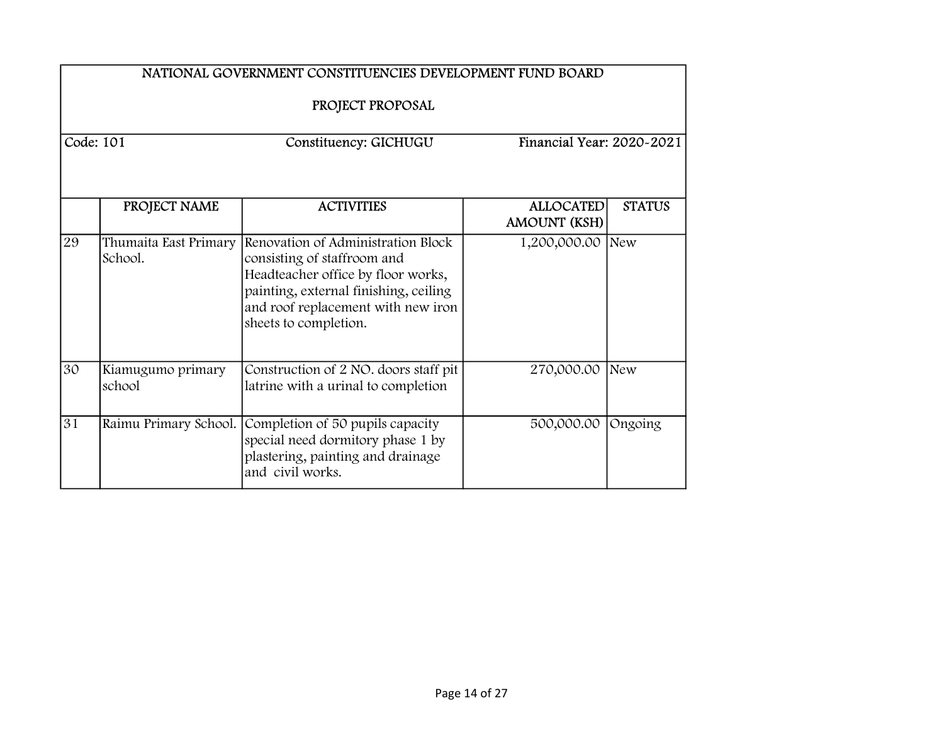|           | NATIONAL GOVERNMENT CONSTITUENCIES DEVELOPMENT FUND BOARD<br>PROJECT PROPOSAL |                                                                                                                                                                                                                 |                                         |               |  |
|-----------|-------------------------------------------------------------------------------|-----------------------------------------------------------------------------------------------------------------------------------------------------------------------------------------------------------------|-----------------------------------------|---------------|--|
| Code: 101 |                                                                               | Constituency: GICHUGU                                                                                                                                                                                           | Financial Year: 2020~2021               |               |  |
|           | PROJECT NAME                                                                  | <b>ACTIVITIES</b>                                                                                                                                                                                               | <b>ALLOCATED</b><br><b>AMOUNT (KSH)</b> | <b>STATUS</b> |  |
| 29        | Thumaita East Primary<br>School.                                              | Renovation of Administration Block<br>consisting of staffroom and<br>Headteacher office by floor works,<br>painting, external finishing, ceiling<br>and roof replacement with new iron<br>sheets to completion. | 1,200,000.00 New                        |               |  |
| 30        | Kiamugumo primary<br>school                                                   | Construction of 2 NO. doors staff pit<br>latrine with a urinal to completion                                                                                                                                    | 270,000.00                              | New           |  |
| 31        | Raimu Primary School.                                                         | Completion of 50 pupils capacity<br>special need dormitory phase 1 by<br>plastering, painting and drainage<br>and civil works.                                                                                  | 500,000.00                              | Ongoing       |  |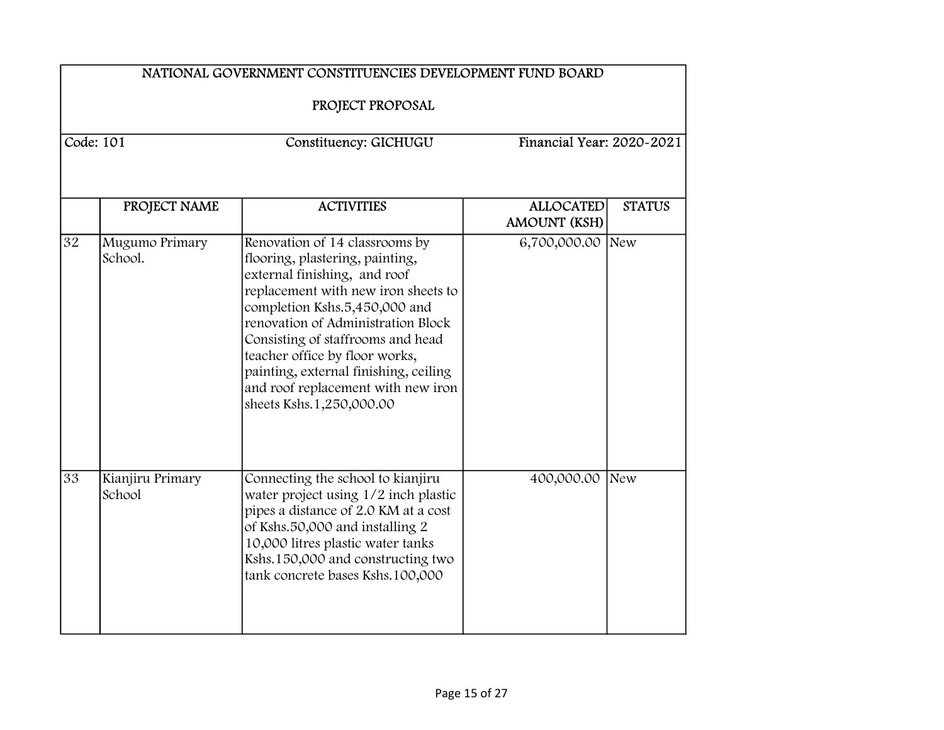|           | NATIONAL GOVERNMENT CONSTITUENCIES DEVELOPMENT FUND BOARD<br>PROJECT PROPOSAL |                                                                                                                                                                                                                                                                                                                                                                                                   |                                         |               |  |
|-----------|-------------------------------------------------------------------------------|---------------------------------------------------------------------------------------------------------------------------------------------------------------------------------------------------------------------------------------------------------------------------------------------------------------------------------------------------------------------------------------------------|-----------------------------------------|---------------|--|
| Code: 101 |                                                                               | Constituency: GICHUGU                                                                                                                                                                                                                                                                                                                                                                             | Financial Year: 2020-2021               |               |  |
|           | PROJECT NAME                                                                  | <b>ACTIVITIES</b>                                                                                                                                                                                                                                                                                                                                                                                 | <b>ALLOCATED</b><br><b>AMOUNT (KSH)</b> | <b>STATUS</b> |  |
| 32        | Mugumo Primary<br>School.                                                     | Renovation of 14 classrooms by<br>flooring, plastering, painting,<br>external finishing, and roof<br>replacement with new iron sheets to<br>completion Kshs.5,450,000 and<br>renovation of Administration Block<br>Consisting of staffrooms and head<br>teacher office by floor works,<br>painting, external finishing, ceiling<br>and roof replacement with new iron<br>sheets Kshs.1,250,000.00 | 6,700,000.00 New                        |               |  |
| 33        | Kianjiru Primary<br>School                                                    | Connecting the school to kianjiru<br>water project using 1/2 inch plastic<br>pipes a distance of 2.0 KM at a cost<br>of Kshs.50,000 and installing 2<br>10,000 litres plastic water tanks<br>Kshs.150,000 and constructing two<br>tank concrete bases Kshs.100,000                                                                                                                                | 400,000.00                              | New           |  |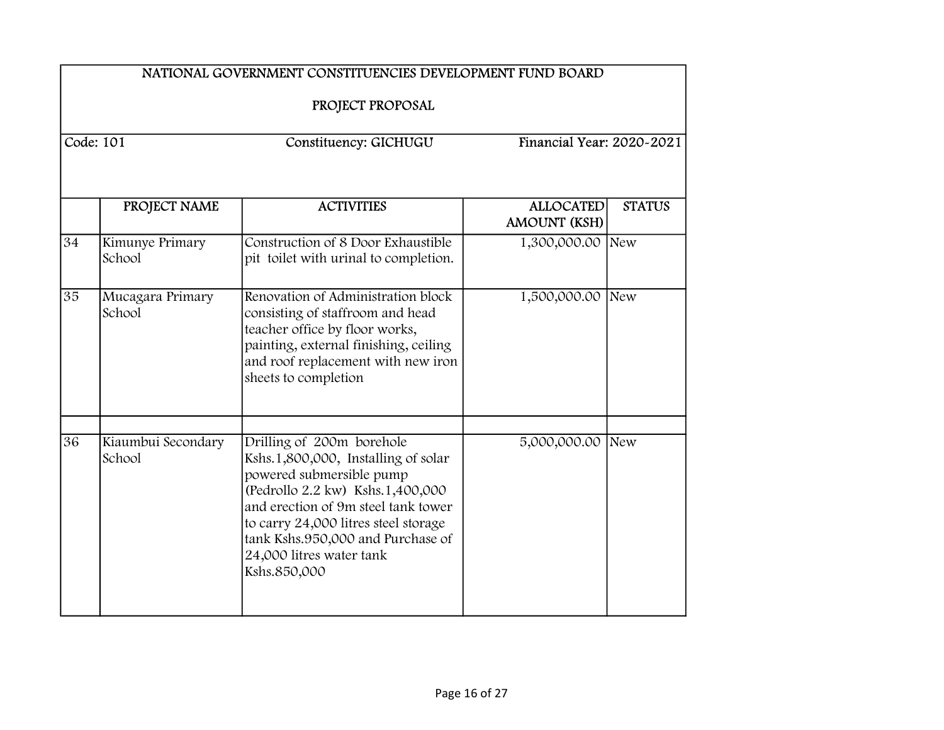|    | NATIONAL GOVERNMENT CONSTITUENCIES DEVELOPMENT FUND BOARD |                                                                                                                                                                                                                                                                                                  |                                         |               |  |
|----|-----------------------------------------------------------|--------------------------------------------------------------------------------------------------------------------------------------------------------------------------------------------------------------------------------------------------------------------------------------------------|-----------------------------------------|---------------|--|
|    | PROJECT PROPOSAL                                          |                                                                                                                                                                                                                                                                                                  |                                         |               |  |
|    | Code: 101                                                 | Constituency: GICHUGU                                                                                                                                                                                                                                                                            | Financial Year: 2020~2021               |               |  |
|    | PROJECT NAME                                              | <b>ACTIVITIES</b>                                                                                                                                                                                                                                                                                | <b>ALLOCATED</b><br><b>AMOUNT (KSH)</b> | <b>STATUS</b> |  |
| 34 | Kimunye Primary<br>School                                 | Construction of 8 Door Exhaustible<br>pit toilet with urinal to completion.                                                                                                                                                                                                                      | 1,300,000.00 New                        |               |  |
| 35 | Mucagara Primary<br>School                                | Renovation of Administration block<br>consisting of staffroom and head<br>teacher office by floor works,<br>painting, external finishing, ceiling<br>and roof replacement with new iron<br>sheets to completion                                                                                  | 1,500,000.00 New                        |               |  |
| 36 | Kiaumbui Secondary<br>School                              | Drilling of 200m borehole<br>Kshs.1,800,000, Installing of solar<br>powered submersible pump<br>(Pedrollo 2.2 kw) Kshs.1,400,000<br>and erection of 9m steel tank tower<br>to carry 24,000 litres steel storage<br>tank Kshs.950,000 and Purchase of<br>24,000 litres water tank<br>Kshs.850,000 | 5,000,000.00 New                        |               |  |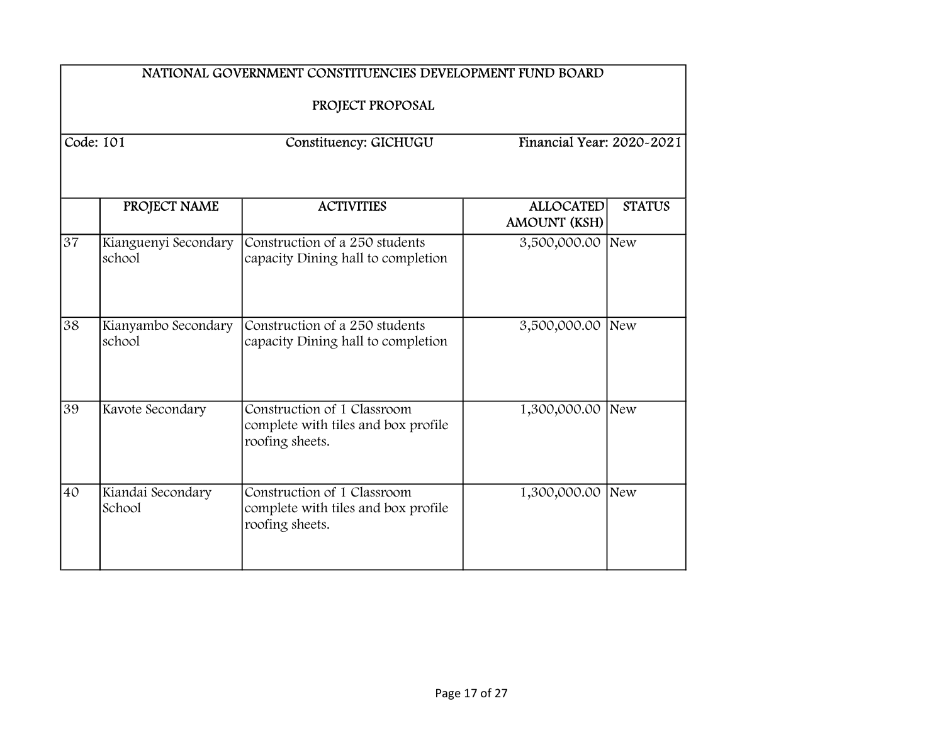|                 | NATIONAL GOVERNMENT CONSTITUENCIES DEVELOPMENT FUND BOARD<br>PROJECT PROPOSAL |                                                                                       |                                         |               |
|-----------------|-------------------------------------------------------------------------------|---------------------------------------------------------------------------------------|-----------------------------------------|---------------|
| Code: $101$     |                                                                               | Constituency: GICHUGU                                                                 | Financial Year: 2020-2021               |               |
|                 | PROJECT NAME                                                                  | <b>ACTIVITIES</b>                                                                     | <b>ALLOCATED</b><br><b>AMOUNT (KSH)</b> | <b>STATUS</b> |
| 37              | Kianguenyi Secondary<br>school                                                | Construction of a 250 students<br>capacity Dining hall to completion                  | 3,500,000.00 New                        |               |
| 38              | Kianyambo Secondary<br>school                                                 | Construction of a 250 students<br>capacity Dining hall to completion                  | 3,500,000.00 New                        |               |
| $\overline{39}$ | Kavote Secondary                                                              | Construction of 1 Classroom<br>complete with tiles and box profile<br>roofing sheets. | 1,300,000.00 New                        |               |
| 40              | Kiandai Secondary<br>School                                                   | Construction of 1 Classroom<br>complete with tiles and box profile<br>roofing sheets. | 1,300,000.00                            | New           |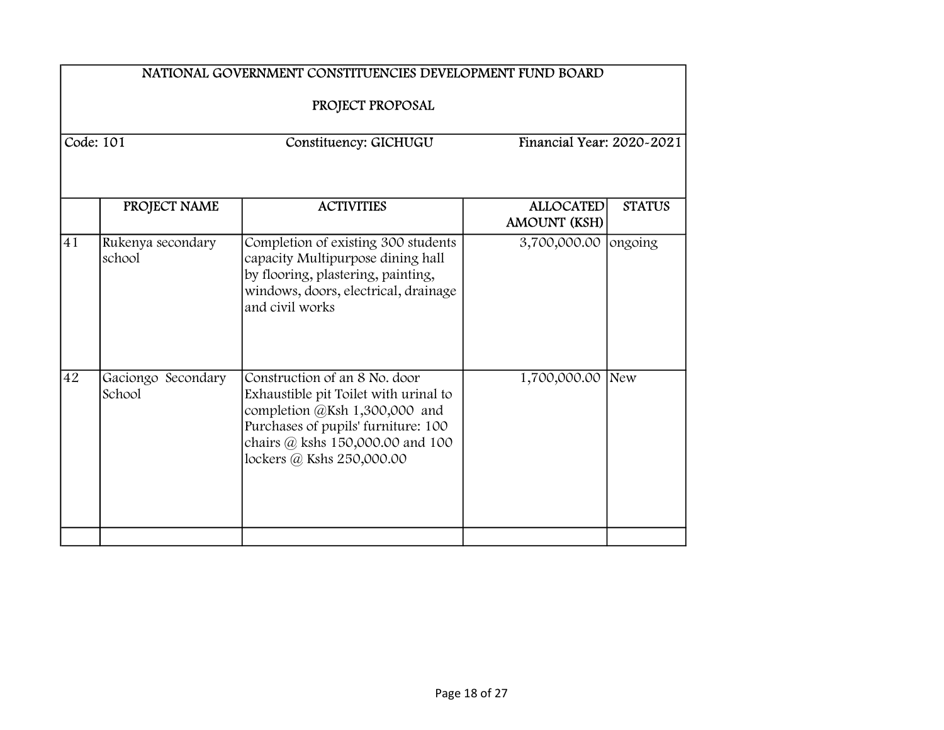|                                                                                     | NATIONAL GOVERNMENT CONSTITUENCIES DEVELOPMENT FUND BOARD |                                                                                                                                                                                                                 |                                  |               |  |
|-------------------------------------------------------------------------------------|-----------------------------------------------------------|-----------------------------------------------------------------------------------------------------------------------------------------------------------------------------------------------------------------|----------------------------------|---------------|--|
| PROJECT PROPOSAL<br>Code: 101<br>Financial Year: 2020~2021<br>Constituency: GICHUGU |                                                           |                                                                                                                                                                                                                 |                                  |               |  |
|                                                                                     | PROJECT NAME                                              | <b>ACTIVITIES</b>                                                                                                                                                                                               | <b>ALLOCATED</b><br>AMOUNT (KSH) | <b>STATUS</b> |  |
| 41                                                                                  | Rukenya secondary<br>school                               | Completion of existing 300 students<br>capacity Multipurpose dining hall<br>by flooring, plastering, painting,<br>windows, doors, electrical, drainage<br>and civil works                                       | 3,700,000.00                     | ongoing       |  |
| 42                                                                                  | Gaciongo Secondary<br>School                              | Construction of an 8 No. door<br>Exhaustible pit Toilet with urinal to<br>completion @Ksh 1,300,000 and<br>Purchases of pupils' furniture: 100<br>chairs @ kshs 150,000.00 and 100<br>lockers @ Kshs 250,000.00 | 1,700,000.00                     | <b>New</b>    |  |
|                                                                                     |                                                           |                                                                                                                                                                                                                 |                                  |               |  |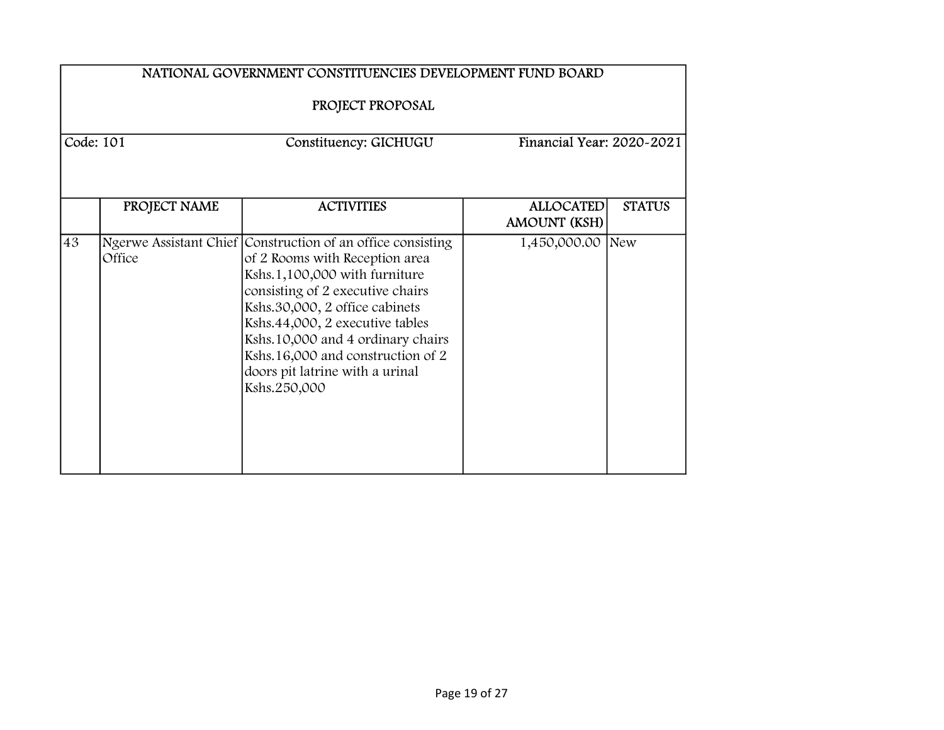|           | NATIONAL GOVERNMENT CONSTITUENCIES DEVELOPMENT FUND BOARD<br>PROJECT PROPOSAL |                                                                                                                                                                                                                                                                                                                                                                      |                                         |               |
|-----------|-------------------------------------------------------------------------------|----------------------------------------------------------------------------------------------------------------------------------------------------------------------------------------------------------------------------------------------------------------------------------------------------------------------------------------------------------------------|-----------------------------------------|---------------|
| Code: 101 |                                                                               | Constituency: GICHUGU                                                                                                                                                                                                                                                                                                                                                | Financial Year: 2020~2021               |               |
|           | PROJECT NAME                                                                  | <b>ACTIVITIES</b>                                                                                                                                                                                                                                                                                                                                                    | <b>ALLOCATED</b><br><b>AMOUNT (KSH)</b> | <b>STATUS</b> |
| 43        | Office                                                                        | Ngerwe Assistant Chief Construction of an office consisting<br>of 2 Rooms with Reception area<br>Kshs.1,100,000 with furniture<br>consisting of 2 executive chairs<br>Kshs.30,000, 2 office cabinets<br>Kshs.44,000, 2 executive tables<br>Kshs.10,000 and 4 ordinary chairs<br>Kshs.16,000 and construction of 2<br>doors pit latrine with a urinal<br>Kshs.250,000 | 1,450,000.00                            | New           |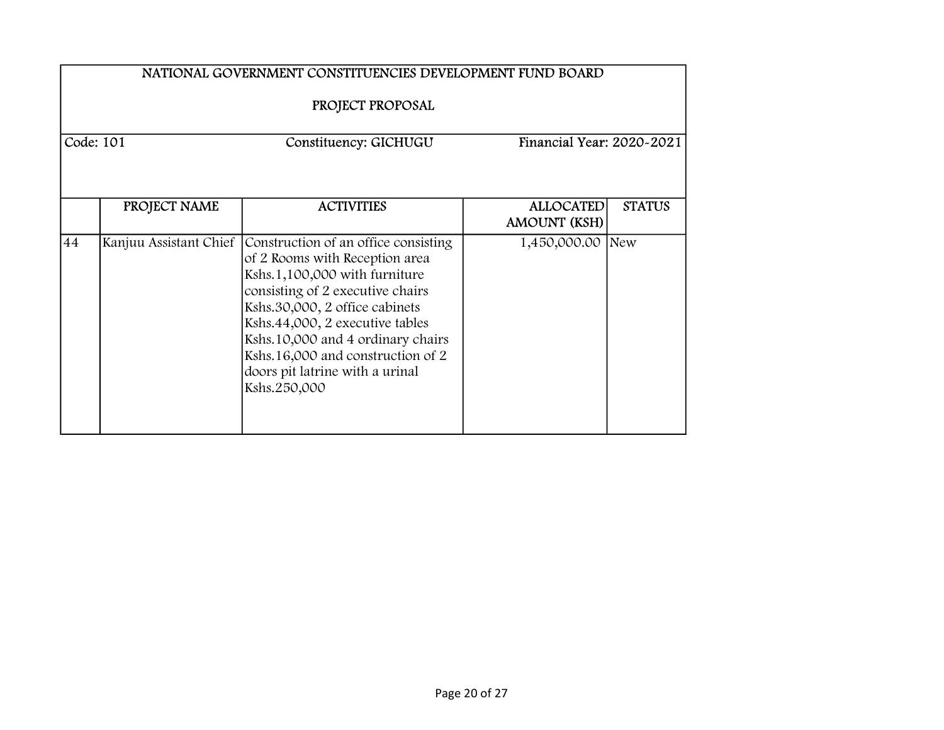|                                                                                     | NATIONAL GOVERNMENT CONSTITUENCIES DEVELOPMENT FUND BOARD |                                                                                                                                                                                                                                                                                                                                                                      |                                                          |  |
|-------------------------------------------------------------------------------------|-----------------------------------------------------------|----------------------------------------------------------------------------------------------------------------------------------------------------------------------------------------------------------------------------------------------------------------------------------------------------------------------------------------------------------------------|----------------------------------------------------------|--|
| PROJECT PROPOSAL<br>Code: 101<br>Constituency: GICHUGU<br>Financial Year: 2020-2021 |                                                           |                                                                                                                                                                                                                                                                                                                                                                      |                                                          |  |
|                                                                                     | PROJECT NAME                                              | <b>ACTIVITIES</b>                                                                                                                                                                                                                                                                                                                                                    | <b>ALLOCATED</b><br><b>STATUS</b><br><b>AMOUNT (KSH)</b> |  |
| 44                                                                                  |                                                           | Kanjuu Assistant Chief Construction of an office consisting<br>of 2 Rooms with Reception area<br>Kshs.1,100,000 with furniture<br>consisting of 2 executive chairs<br>Kshs.30,000, 2 office cabinets<br>Kshs.44,000, 2 executive tables<br>Kshs.10,000 and 4 ordinary chairs<br>Kshs.16,000 and construction of 2<br>doors pit latrine with a urinal<br>Kshs.250,000 | 1,450,000.00 New                                         |  |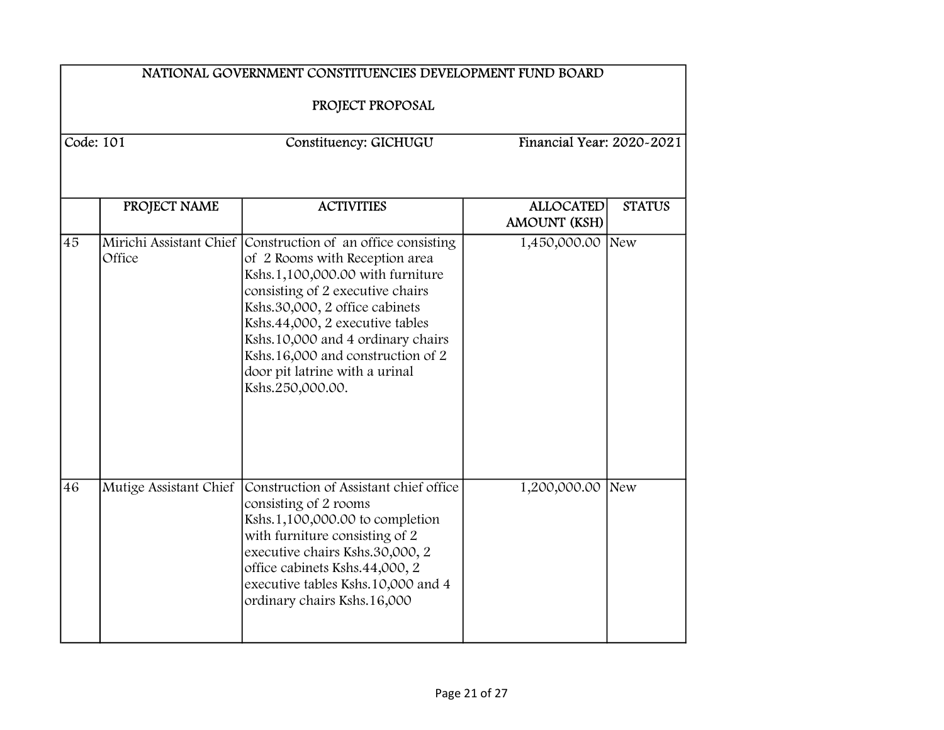|             | NATIONAL GOVERNMENT CONSTITUENCIES DEVELOPMENT FUND BOARD |                                                                                                                                                                                                                                                                                                                                                                             |                                         |               |  |
|-------------|-----------------------------------------------------------|-----------------------------------------------------------------------------------------------------------------------------------------------------------------------------------------------------------------------------------------------------------------------------------------------------------------------------------------------------------------------------|-----------------------------------------|---------------|--|
|             | PROJECT PROPOSAL                                          |                                                                                                                                                                                                                                                                                                                                                                             |                                         |               |  |
| Code: $101$ |                                                           | Constituency: GICHUGU                                                                                                                                                                                                                                                                                                                                                       | Financial Year: 2020~2021               |               |  |
|             | PROJECT NAME                                              | <b>ACTIVITIES</b>                                                                                                                                                                                                                                                                                                                                                           | <b>ALLOCATED</b>                        | <b>STATUS</b> |  |
| 45          | Office                                                    | Mirichi Assistant Chief Construction of an office consisting<br>of 2 Rooms with Reception area<br>Kshs.1,100,000.00 with furniture<br>consisting of 2 executive chairs<br>Kshs.30,000, 2 office cabinets<br>Kshs.44,000, 2 executive tables<br>Kshs.10,000 and 4 ordinary chairs<br>Kshs.16,000 and construction of 2<br>door pit latrine with a urinal<br>Kshs.250,000.00. | <b>AMOUNT (KSH)</b><br>1,450,000.00 New |               |  |
| 46          | Mutige Assistant Chief                                    | Construction of Assistant chief office<br>consisting of 2 rooms<br>Kshs.1,100,000.00 to completion<br>with furniture consisting of 2<br>executive chairs Kshs.30,000, 2<br>office cabinets Kshs.44,000, 2<br>executive tables Kshs.10,000 and 4<br>ordinary chairs Kshs.16,000                                                                                              | 1,200,000.00 New                        |               |  |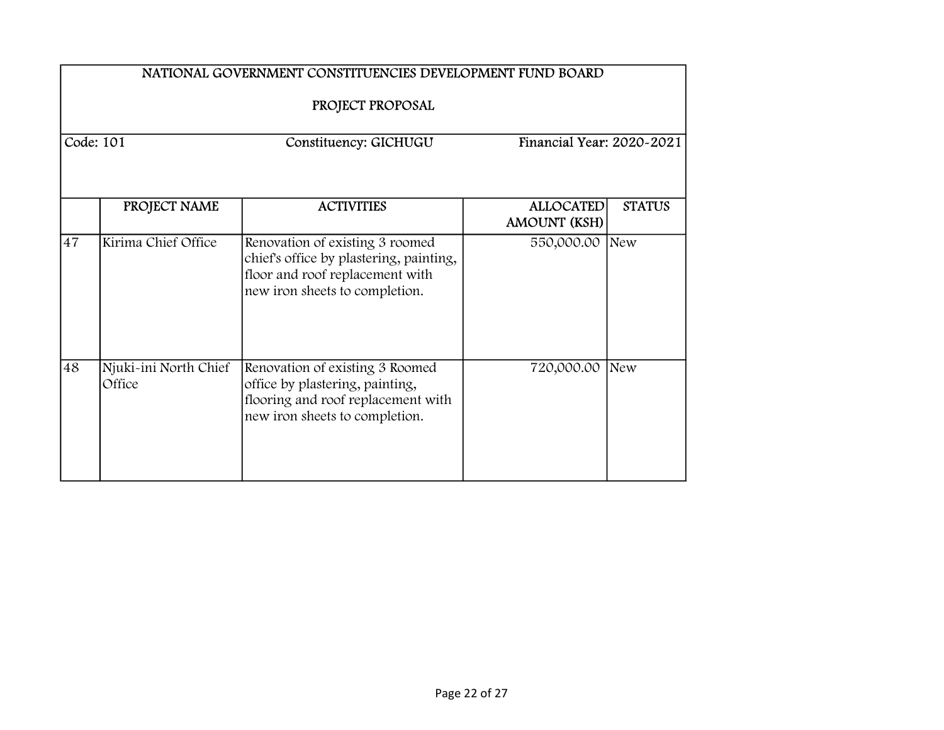|           | NATIONAL GOVERNMENT CONSTITUENCIES DEVELOPMENT FUND BOARD |                                                                                                                                                 |                                         |               |  |
|-----------|-----------------------------------------------------------|-------------------------------------------------------------------------------------------------------------------------------------------------|-----------------------------------------|---------------|--|
| Code: 101 |                                                           | PROJECT PROPOSAL<br>Constituency: GICHUGU                                                                                                       | Financial Year: 2020-2021               |               |  |
|           | PROJECT NAME                                              | <b>ACTIVITIES</b>                                                                                                                               | <b>ALLOCATED</b><br><b>AMOUNT (KSH)</b> | <b>STATUS</b> |  |
| 47        | Kirima Chief Office                                       | Renovation of existing 3 roomed<br>chief's office by plastering, painting,<br>floor and roof replacement with<br>new iron sheets to completion. | 550,000.00                              | New           |  |
| 48        | Njuki-ini North Chief<br>Office                           | Renovation of existing 3 Roomed<br>office by plastering, painting,<br>flooring and roof replacement with<br>new iron sheets to completion.      | 720,000.00                              | New           |  |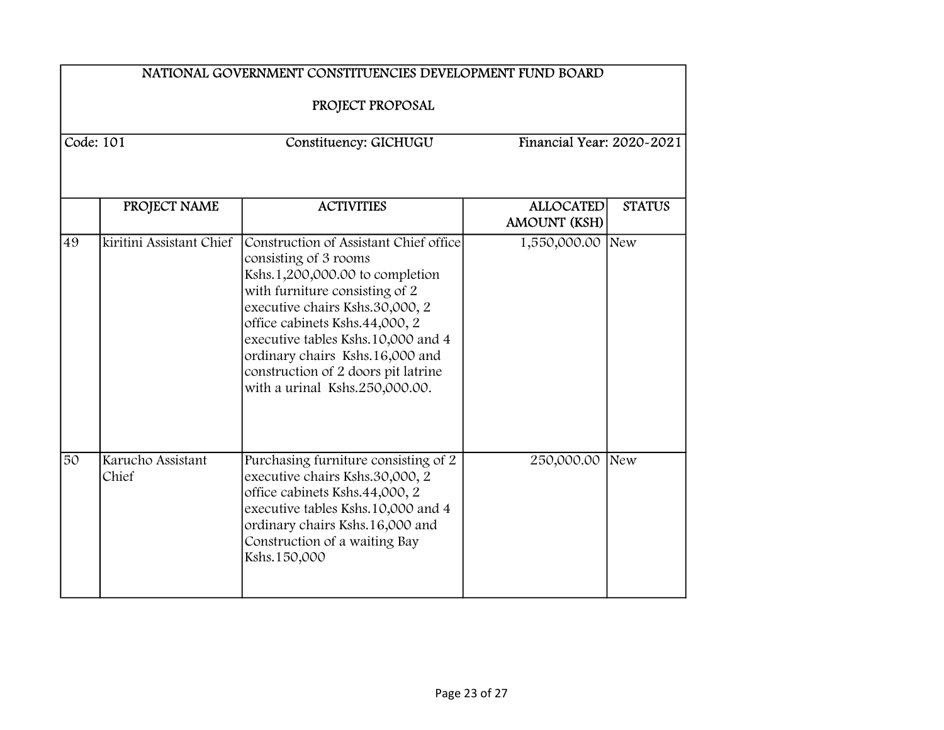|    | NATIONAL GOVERNMENT CONSTITUENCIES DEVELOPMENT FUND BOARD       |                                                                                                                                                                                                                                                                                                                                                             |                                         |               |  |
|----|-----------------------------------------------------------------|-------------------------------------------------------------------------------------------------------------------------------------------------------------------------------------------------------------------------------------------------------------------------------------------------------------------------------------------------------------|-----------------------------------------|---------------|--|
|    | PROJECT PROPOSAL                                                |                                                                                                                                                                                                                                                                                                                                                             |                                         |               |  |
|    | Code: 101<br>Financial Year: 2020~2021<br>Constituency: GICHUGU |                                                                                                                                                                                                                                                                                                                                                             |                                         |               |  |
|    |                                                                 |                                                                                                                                                                                                                                                                                                                                                             |                                         |               |  |
|    | PROJECT NAME                                                    | <b>ACTIVITIES</b>                                                                                                                                                                                                                                                                                                                                           | <b>ALLOCATED</b><br><b>AMOUNT (KSH)</b> | <b>STATUS</b> |  |
| 49 | kiritini Assistant Chief                                        | Construction of Assistant Chief office<br>consisting of 3 rooms<br>Kshs.1,200,000.00 to completion<br>with furniture consisting of 2<br>executive chairs Kshs.30,000, 2<br>office cabinets Kshs.44,000, 2<br>executive tables Kshs.10,000 and 4<br>ordinary chairs Kshs.16,000 and<br>construction of 2 doors pit latrine<br>with a urinal Kshs.250,000.00. | 1,550,000.00 New                        |               |  |
| 50 | Karucho Assistant<br>Chief                                      | Purchasing furniture consisting of 2<br>executive chairs Kshs.30,000, 2<br>office cabinets Kshs.44,000, 2<br>executive tables Kshs.10,000 and 4<br>ordinary chairs Kshs.16,000 and<br>Construction of a waiting Bay<br>Kshs.150,000                                                                                                                         | 250,000.00                              | New           |  |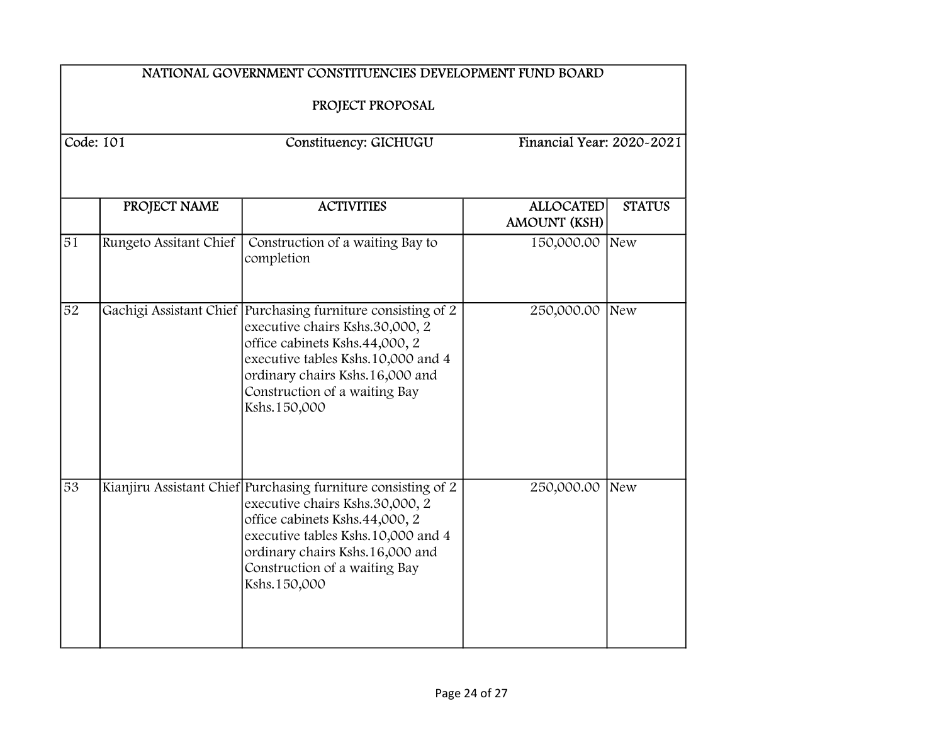|                 | NATIONAL GOVERNMENT CONSTITUENCIES DEVELOPMENT FUND BOARD       |                                                                                                                                                                                                                                                              |                                         |               |  |
|-----------------|-----------------------------------------------------------------|--------------------------------------------------------------------------------------------------------------------------------------------------------------------------------------------------------------------------------------------------------------|-----------------------------------------|---------------|--|
|                 | PROJECT PROPOSAL                                                |                                                                                                                                                                                                                                                              |                                         |               |  |
|                 | Code: 101<br>Financial Year: 2020~2021<br>Constituency: GICHUGU |                                                                                                                                                                                                                                                              |                                         |               |  |
|                 |                                                                 |                                                                                                                                                                                                                                                              |                                         |               |  |
|                 | PROJECT NAME                                                    | <b>ACTIVITIES</b>                                                                                                                                                                                                                                            | <b>ALLOCATED</b><br><b>AMOUNT (KSH)</b> | <b>STATUS</b> |  |
| $\overline{51}$ | Rungeto Assitant Chief                                          | Construction of a waiting Bay to<br>completion                                                                                                                                                                                                               | 150,000.00 New                          |               |  |
| $\overline{52}$ |                                                                 | Gachigi Assistant Chief Purchasing furniture consisting of 2<br>executive chairs Kshs.30,000, 2<br>office cabinets Kshs.44,000, 2<br>executive tables Kshs.10,000 and 4<br>ordinary chairs Kshs.16,000 and<br>Construction of a waiting Bay<br>Kshs.150,000  | 250,000.00                              | New           |  |
| 53              |                                                                 | Kianjiru Assistant Chief Purchasing furniture consisting of 2<br>executive chairs Kshs.30,000, 2<br>office cabinets Kshs.44,000, 2<br>executive tables Kshs.10,000 and 4<br>ordinary chairs Kshs.16,000 and<br>Construction of a waiting Bay<br>Kshs.150,000 | 250,000.00                              | New           |  |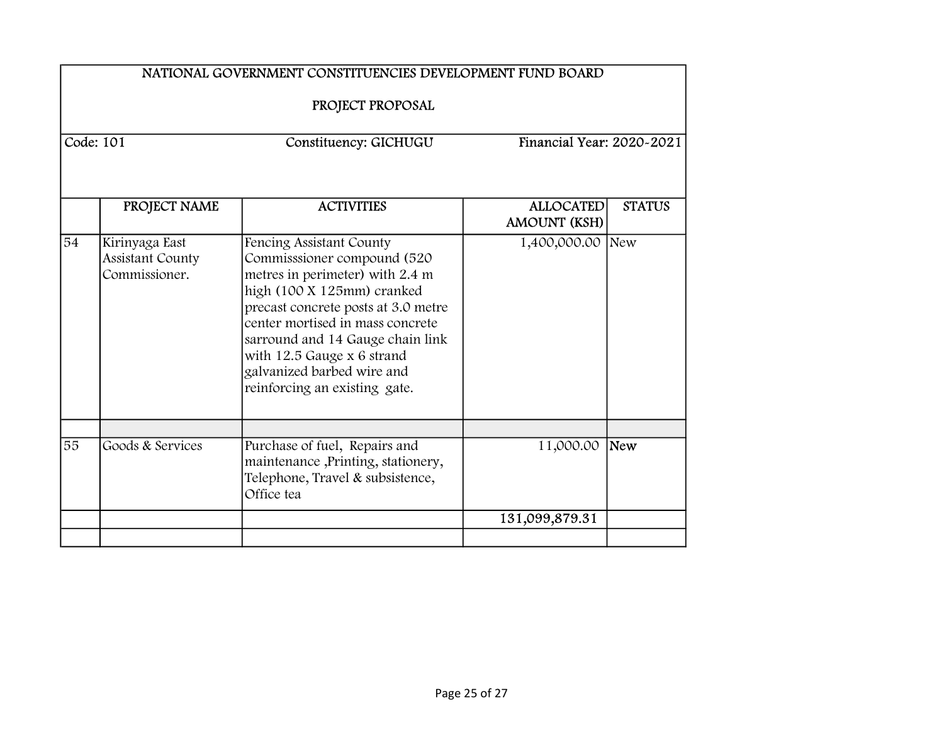| NATIONAL GOVERNMENT CONSTITUENCIES DEVELOPMENT FUND BOARD<br>PROJECT PROPOSAL |                                                     |                                                                                                                                                                                                                                                                                                                                      |                                         |               |  |
|-------------------------------------------------------------------------------|-----------------------------------------------------|--------------------------------------------------------------------------------------------------------------------------------------------------------------------------------------------------------------------------------------------------------------------------------------------------------------------------------------|-----------------------------------------|---------------|--|
|                                                                               | Code: 101                                           | Constituency: GICHUGU                                                                                                                                                                                                                                                                                                                | Financial Year: 2020-2021               |               |  |
|                                                                               | PROJECT NAME                                        | <b>ACTIVITIES</b>                                                                                                                                                                                                                                                                                                                    | <b>ALLOCATED</b><br><b>AMOUNT (KSH)</b> | <b>STATUS</b> |  |
| 54                                                                            | Kirinyaga East<br>Assistant County<br>Commissioner. | Fencing Assistant County<br>Commisssioner compound (520<br>metres in perimeter) with 2.4 m<br>high (100 X 125mm) cranked<br>precast concrete posts at 3.0 metre<br>center mortised in mass concrete<br>sarround and 14 Gauge chain link<br>with 12.5 Gauge x 6 strand<br>galvanized barbed wire and<br>reinforcing an existing gate. | 1,400,000.00 New                        |               |  |
| $\overline{55}$                                                               | Goods & Services                                    | Purchase of fuel, Repairs and<br>maintenance, Printing, stationery,<br>Telephone, Travel & subsistence,<br>Office tea                                                                                                                                                                                                                | 11,000.00 New                           |               |  |
|                                                                               |                                                     |                                                                                                                                                                                                                                                                                                                                      | 131,099,879.31                          |               |  |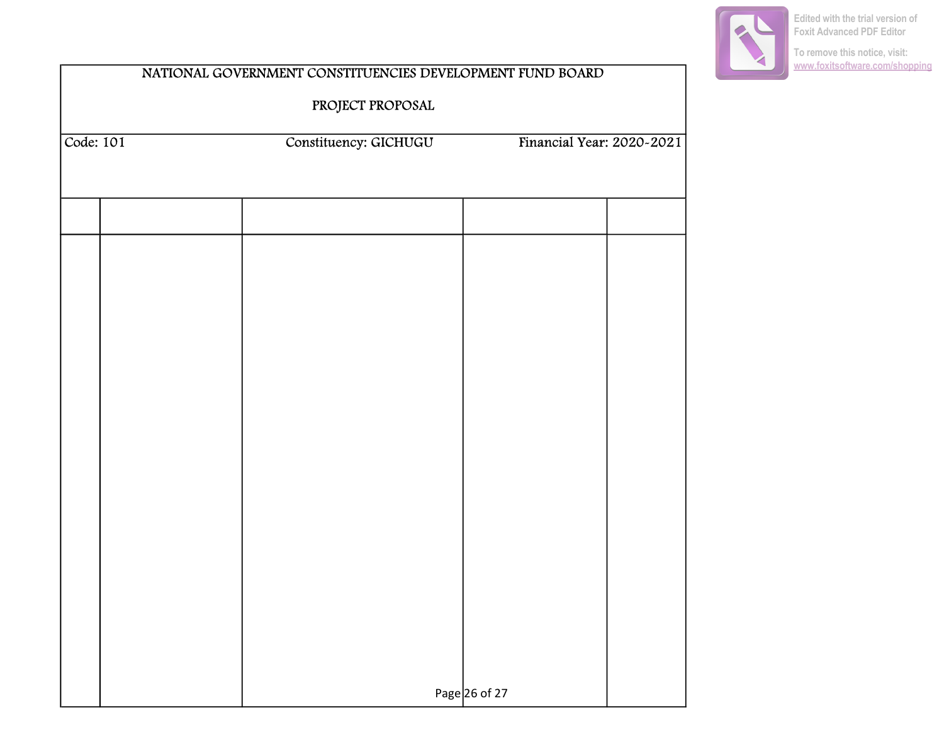

**To remove this notice, visit: [www.foxitsoftware.com/shopping](http://www.foxitsoftware.com/shopping)**

| Constituency: GICHUGU |                           |                 |
|-----------------------|---------------------------|-----------------|
|                       | Financial Year: 2020-2021 |                 |
|                       |                           |                 |
|                       |                           |                 |
|                       |                           |                 |
|                       |                           |                 |
|                       |                           |                 |
|                       |                           |                 |
|                       |                           |                 |
|                       |                           |                 |
|                       |                           |                 |
|                       |                           |                 |
|                       |                           |                 |
|                       |                           |                 |
|                       |                           |                 |
|                       |                           |                 |
|                       |                           | Page $26$ of 27 |